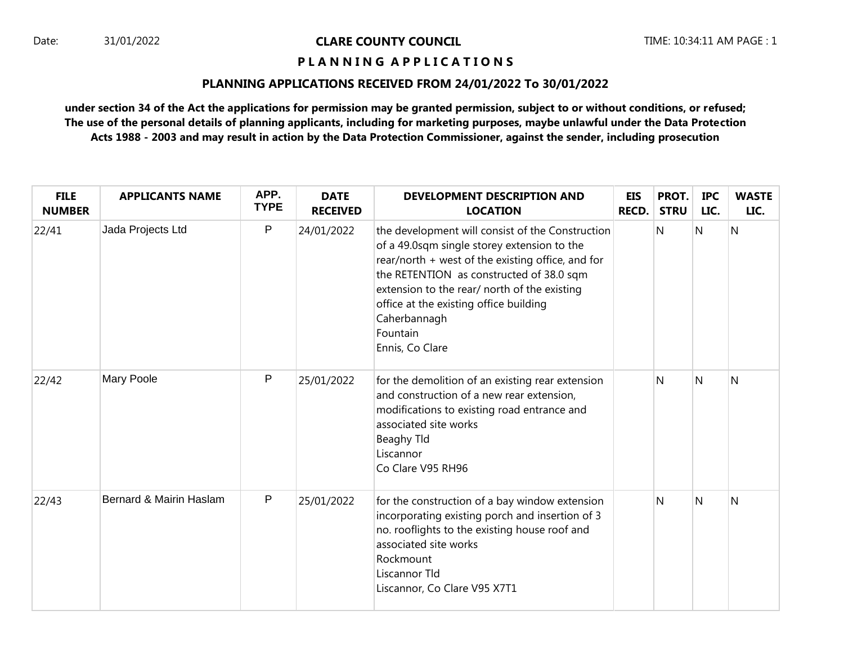## **P L A N N I N G A P P L I C A T I O N S**

### **PLANNING APPLICATIONS RECEIVED FROM 24/01/2022 To 30/01/2022**

| <b>FILE</b><br><b>NUMBER</b> | <b>APPLICANTS NAME</b>  | APP.<br><b>TYPE</b> | <b>DATE</b><br><b>RECEIVED</b> | <b>DEVELOPMENT DESCRIPTION AND</b><br><b>LOCATION</b>                                                                                                                                                                                                                                                                                     | EIS<br><b>RECD.</b> | PROT.<br><b>STRU</b> | <b>IPC</b><br>LIC. | <b>WASTE</b><br>LIC. |
|------------------------------|-------------------------|---------------------|--------------------------------|-------------------------------------------------------------------------------------------------------------------------------------------------------------------------------------------------------------------------------------------------------------------------------------------------------------------------------------------|---------------------|----------------------|--------------------|----------------------|
| 22/41                        | Jada Projects Ltd       | P                   | 24/01/2022                     | the development will consist of the Construction<br>of a 49.0sqm single storey extension to the<br>rear/north + west of the existing office, and for<br>the RETENTION as constructed of 38.0 sqm<br>extension to the rear/ north of the existing<br>office at the existing office building<br>Caherbannagh<br>Fountain<br>Ennis, Co Clare |                     | N                    | N                  | N                    |
| 22/42                        | <b>Mary Poole</b>       | P                   | 25/01/2022                     | for the demolition of an existing rear extension<br>and construction of a new rear extension,<br>modifications to existing road entrance and<br>associated site works<br>Beaghy Tld<br>Liscannor<br>Co Clare V95 RH96                                                                                                                     |                     | N                    | N                  | $\mathsf{N}$         |
| 22/43                        | Bernard & Mairin Haslam | P                   | 25/01/2022                     | for the construction of a bay window extension<br>incorporating existing porch and insertion of 3<br>no. rooflights to the existing house roof and<br>associated site works<br>Rockmount<br>Liscannor Tld<br>Liscannor, Co Clare V95 X7T1                                                                                                 |                     | N                    | N                  | N                    |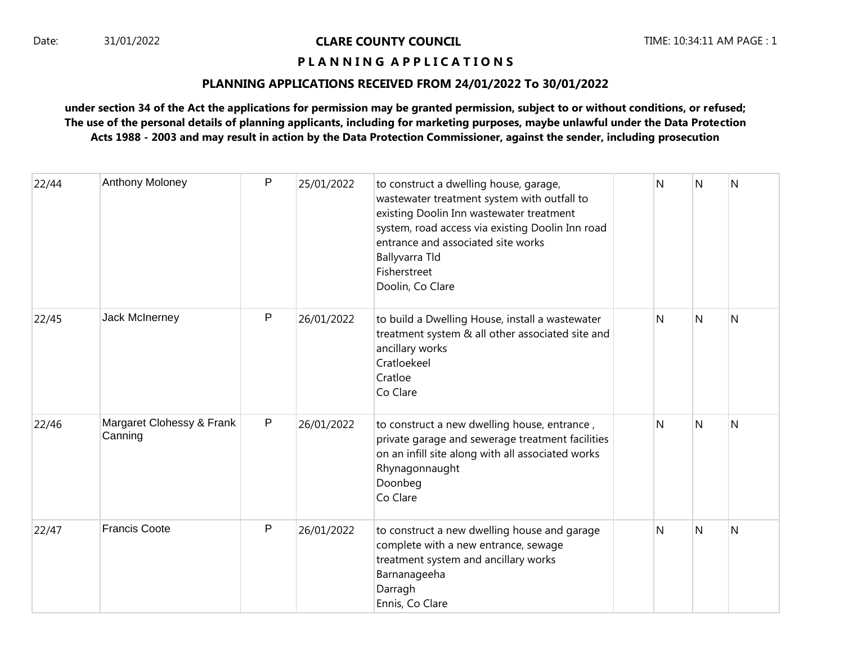## **P L A N N I N G A P P L I C A T I O N S**

### **PLANNING APPLICATIONS RECEIVED FROM 24/01/2022 To 30/01/2022**

| 22/44 | Anthony Moloney                      | P | 25/01/2022 | to construct a dwelling house, garage,<br>wastewater treatment system with outfall to<br>existing Doolin Inn wastewater treatment<br>system, road access via existing Doolin Inn road<br>entrance and associated site works<br>Ballyvarra Tld<br>Fisherstreet<br>Doolin, Co Clare | N | N | N |
|-------|--------------------------------------|---|------------|-----------------------------------------------------------------------------------------------------------------------------------------------------------------------------------------------------------------------------------------------------------------------------------|---|---|---|
| 22/45 | Jack McInerney                       | P | 26/01/2022 | to build a Dwelling House, install a wastewater<br>treatment system & all other associated site and<br>ancillary works<br>Cratloekeel<br>Cratloe<br>Co Clare                                                                                                                      | N | N | Ν |
| 22/46 | Margaret Clohessy & Frank<br>Canning | P | 26/01/2022 | to construct a new dwelling house, entrance,<br>private garage and sewerage treatment facilities<br>on an infill site along with all associated works<br>Rhynagonnaught<br>Doonbeg<br>Co Clare                                                                                    | N | N | Ν |
| 22/47 | <b>Francis Coote</b>                 | P | 26/01/2022 | to construct a new dwelling house and garage<br>complete with a new entrance, sewage<br>treatment system and ancillary works<br>Barnanageeha<br>Darragh<br>Ennis, Co Clare                                                                                                        | N | N | N |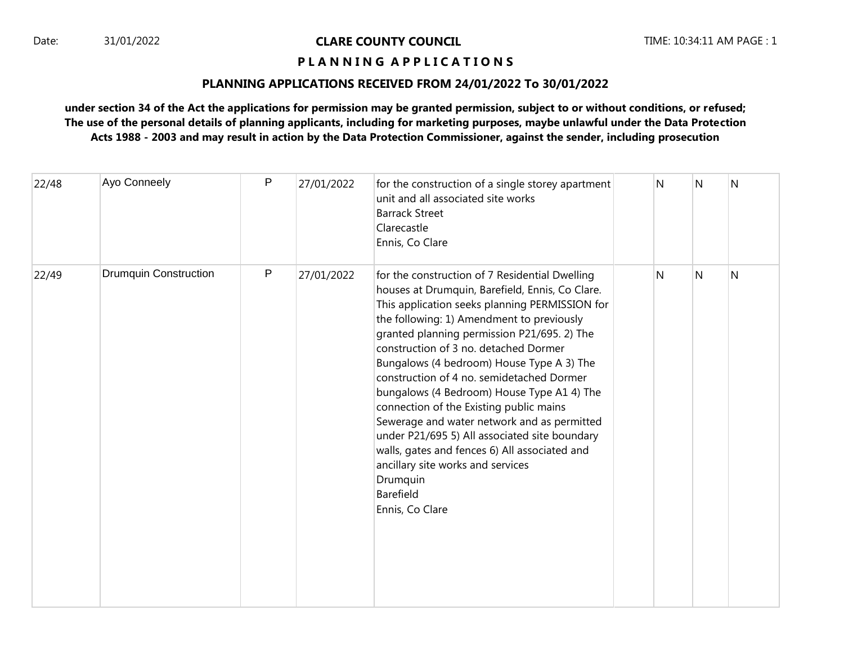## **P L A N N I N G A P P L I C A T I O N S**

### **PLANNING APPLICATIONS RECEIVED FROM 24/01/2022 To 30/01/2022**

| 22/48 | Ayo Conneely                 | P | 27/01/2022 | for the construction of a single storey apartment<br>unit and all associated site works<br><b>Barrack Street</b><br>Clarecastle<br>Ennis, Co Clare                                                                                                                                                                                                                                                                                                                                                                                                                                                                                                                                                            | N | N | N |
|-------|------------------------------|---|------------|---------------------------------------------------------------------------------------------------------------------------------------------------------------------------------------------------------------------------------------------------------------------------------------------------------------------------------------------------------------------------------------------------------------------------------------------------------------------------------------------------------------------------------------------------------------------------------------------------------------------------------------------------------------------------------------------------------------|---|---|---|
| 22/49 | <b>Drumquin Construction</b> | P | 27/01/2022 | for the construction of 7 Residential Dwelling<br>houses at Drumquin, Barefield, Ennis, Co Clare.<br>This application seeks planning PERMISSION for<br>the following: 1) Amendment to previously<br>granted planning permission P21/695. 2) The<br>construction of 3 no. detached Dormer<br>Bungalows (4 bedroom) House Type A 3) The<br>construction of 4 no. semidetached Dormer<br>bungalows (4 Bedroom) House Type A1 4) The<br>connection of the Existing public mains<br>Sewerage and water network and as permitted<br>under P21/695 5) All associated site boundary<br>walls, gates and fences 6) All associated and<br>ancillary site works and services<br>Drumquin<br>Barefield<br>Ennis, Co Clare | N | N | N |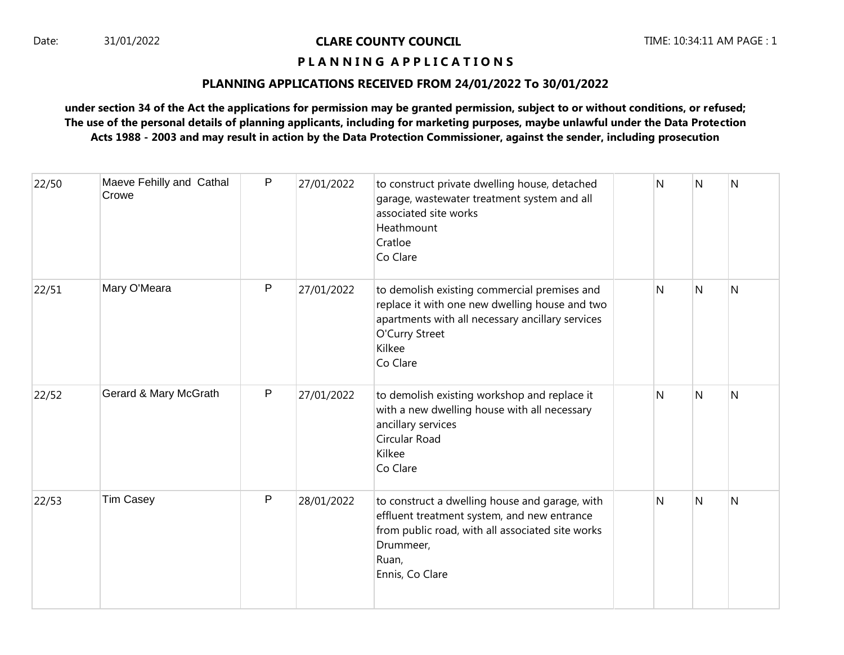## **P L A N N I N G A P P L I C A T I O N S**

### **PLANNING APPLICATIONS RECEIVED FROM 24/01/2022 To 30/01/2022**

| 22/50 | Maeve Fehilly and Cathal<br>Crowe | P            | 27/01/2022 | to construct private dwelling house, detached<br>garage, wastewater treatment system and all<br>associated site works<br>Heathmount<br>Cratloe<br>Co Clare                                 | N | N | N |
|-------|-----------------------------------|--------------|------------|--------------------------------------------------------------------------------------------------------------------------------------------------------------------------------------------|---|---|---|
| 22/51 | Mary O'Meara                      | $\mathsf{P}$ | 27/01/2022 | to demolish existing commercial premises and<br>replace it with one new dwelling house and two<br>apartments with all necessary ancillary services<br>O'Curry Street<br>Kilkee<br>Co Clare | N | N | N |
| 22/52 | Gerard & Mary McGrath             | ${\sf P}$    | 27/01/2022 | to demolish existing workshop and replace it<br>with a new dwelling house with all necessary<br>ancillary services<br>Circular Road<br>Kilkee<br>Co Clare                                  | N | N | Ν |
| 22/53 | <b>Tim Casey</b>                  | P            | 28/01/2022 | to construct a dwelling house and garage, with<br>effluent treatment system, and new entrance<br>from public road, with all associated site works<br>Drummeer,<br>Ruan,<br>Ennis, Co Clare | N | N | N |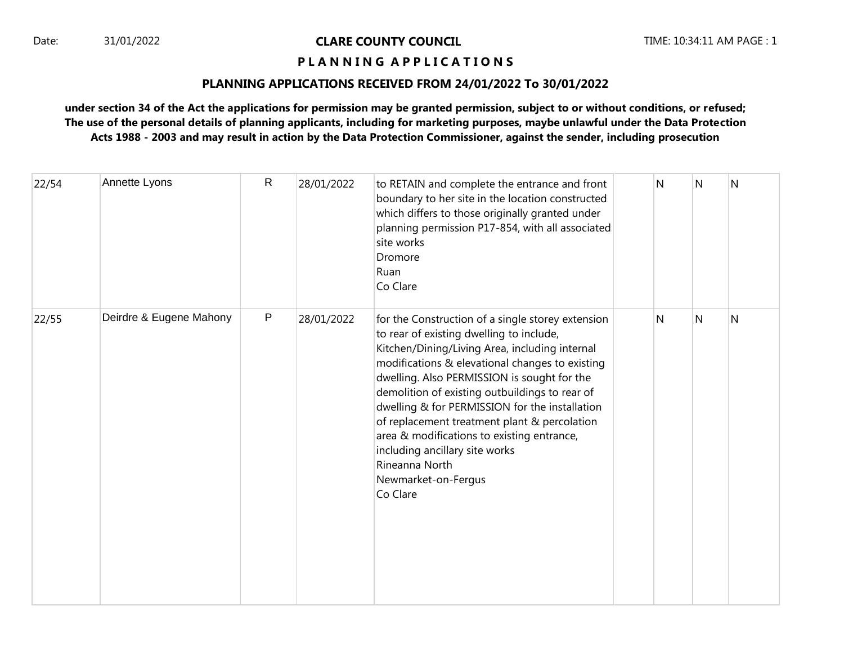## **P L A N N I N G A P P L I C A T I O N S**

### **PLANNING APPLICATIONS RECEIVED FROM 24/01/2022 To 30/01/2022**

| 22/54 | Annette Lyons           | $\mathsf{R}$ | 28/01/2022 | to RETAIN and complete the entrance and front<br>boundary to her site in the location constructed<br>which differs to those originally granted under<br>planning permission P17-854, with all associated<br>site works<br>Dromore<br>Ruan<br>Co Clare                                                                                                                                                                                                                                                                                      | N            | N | $\mathsf{N}$ |
|-------|-------------------------|--------------|------------|--------------------------------------------------------------------------------------------------------------------------------------------------------------------------------------------------------------------------------------------------------------------------------------------------------------------------------------------------------------------------------------------------------------------------------------------------------------------------------------------------------------------------------------------|--------------|---|--------------|
| 22/55 | Deirdre & Eugene Mahony | $\mathsf{P}$ | 28/01/2022 | for the Construction of a single storey extension<br>to rear of existing dwelling to include,<br>Kitchen/Dining/Living Area, including internal<br>modifications & elevational changes to existing<br>dwelling. Also PERMISSION is sought for the<br>demolition of existing outbuildings to rear of<br>dwelling & for PERMISSION for the installation<br>of replacement treatment plant & percolation<br>area & modifications to existing entrance,<br>including ancillary site works<br>Rineanna North<br>Newmarket-on-Fergus<br>Co Clare | $\mathsf{N}$ | N | $\mathsf{N}$ |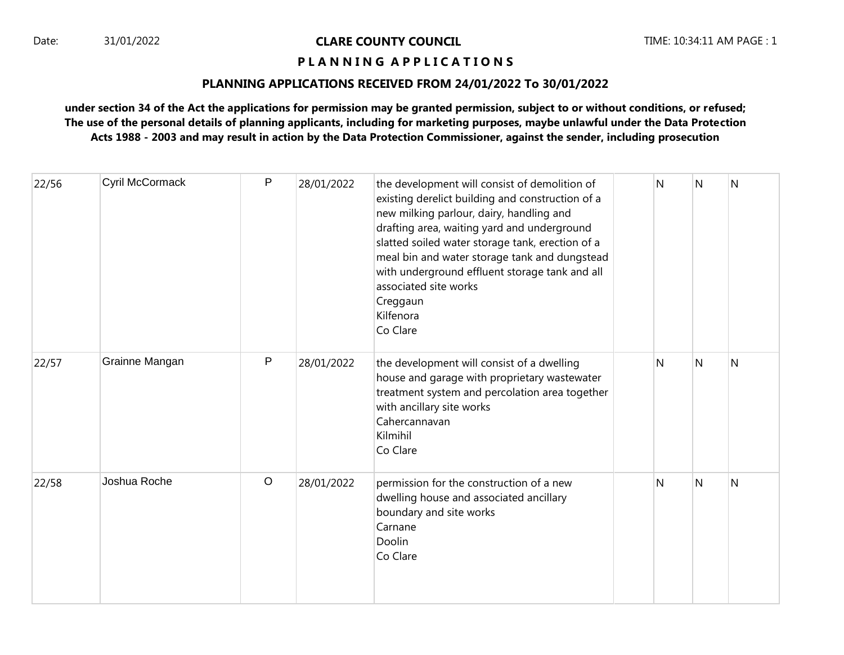## **P L A N N I N G A P P L I C A T I O N S**

### **PLANNING APPLICATIONS RECEIVED FROM 24/01/2022 To 30/01/2022**

| 22/56 | Cyril McCormack | P       | 28/01/2022 | the development will consist of demolition of<br>existing derelict building and construction of a<br>new milking parlour, dairy, handling and<br>drafting area, waiting yard and underground<br>slatted soiled water storage tank, erection of a<br>meal bin and water storage tank and dungstead<br>with underground effluent storage tank and all<br>associated site works<br>Creggaun<br>Kilfenora<br>Co Clare | N | N | N              |
|-------|-----------------|---------|------------|-------------------------------------------------------------------------------------------------------------------------------------------------------------------------------------------------------------------------------------------------------------------------------------------------------------------------------------------------------------------------------------------------------------------|---|---|----------------|
| 22/57 | Grainne Mangan  | P       | 28/01/2022 | the development will consist of a dwelling<br>house and garage with proprietary wastewater<br>treatment system and percolation area together<br>with ancillary site works<br>Cahercannavan<br>Kilmihil<br>Co Clare                                                                                                                                                                                                | N | N | $\overline{N}$ |
| 22/58 | Joshua Roche    | $\circ$ | 28/01/2022 | permission for the construction of a new<br>dwelling house and associated ancillary<br>boundary and site works<br>Carnane<br>Doolin<br>Co Clare                                                                                                                                                                                                                                                                   | N | N | $\overline{N}$ |